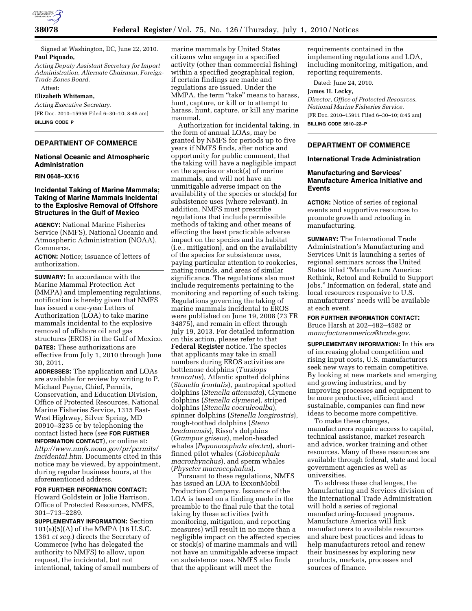

Signed at Washington, DC, June 22, 2010. **Paul Piquado,** 

*Acting Deputy Assistant Secretary for Import Administration, Alternate Chairman, Foreign-Trade Zones Board.* 

Attest:

**Elizabeth Whiteman,** 

*Acting Executive Secretary.*  [FR Doc. 2010–15956 Filed 6–30–10; 8:45 am] **BILLING CODE P** 

## **DEPARTMENT OF COMMERCE**

## **National Oceanic and Atmospheric Administration**

#### **RIN 0648–XX16**

# **Incidental Taking of Marine Mammals; Taking of Marine Mammals Incidental to the Explosive Removal of Offshore Structures in the Gulf of Mexico**

**AGENCY:** National Marine Fisheries Service (NMFS), National Oceanic and Atmospheric Administration (NOAA), Commerce.

**ACTION:** Notice; issuance of letters of authorization.

**SUMMARY:** In accordance with the Marine Mammal Protection Act (MMPA) and implementing regulations, notification is hereby given that NMFS has issued a one-year Letters of Authorization (LOA) to take marine mammals incidental to the explosive removal of offshore oil and gas structures (EROS) in the Gulf of Mexico.

**DATES:** These authorizations are effective from July 1, 2010 through June 30, 2011.

**ADDRESSES:** The application and LOAs are available for review by writing to P. Michael Payne, Chief, Permits, Conservation, and Education Division, Office of Protected Resources, National Marine Fisheries Service, 1315 East-West Highway, Silver Spring, MD 20910–3235 or by telephoning the contact listed here (*see* **FOR FURTHER INFORMATION CONTACT**), or online at: *http://www.nmfs.noaa.gov/pr/permits/ incidental.htm.* Documents cited in this notice may be viewed, by appointment, during regular business hours, at the aforementioned address.

## **FOR FURTHER INFORMATION CONTACT:**

Howard Goldstein or Jolie Harrison, Office of Protected Resources, NMFS, 301–713–2289.

**SUPPLEMENTARY INFORMATION:** Section 101(a)(5)(A) of the MMPA (16 U.S.C. 1361 *et seq.*) directs the Secretary of Commerce (who has delegated the authority to NMFS) to allow, upon request, the incidental, but not intentional, taking of small numbers of

marine mammals by United States citizens who engage in a specified activity (other than commercial fishing) within a specified geographical region, if certain findings are made and regulations are issued. Under the MMPA, the term "take" means to harass, hunt, capture, or kill or to attempt to harass, hunt, capture, or kill any marine mammal.

Authorization for incidental taking, in the form of annual LOAs, may be granted by NMFS for periods up to five years if NMFS finds, after notice and opportunity for public comment, that the taking will have a negligible impact on the species or stock(s) of marine mammals, and will not have an unmitigable adverse impact on the availability of the species or stock(s) for subsistence uses (where relevant). In addition, NMFS must prescribe regulations that include permissible methods of taking and other means of effecting the least practicable adverse impact on the species and its habitat (i.e., mitigation), and on the availability of the species for subsistence uses, paying particular attention to rookeries, mating rounds, and areas of similar significance. The regulations also must include requirements pertaining to the monitoring and reporting of such taking. Regulations governing the taking of marine mammals incidental to EROS were published on June 19, 2008 (73 FR 34875), and remain in effect through July 19, 2013. For detailed information on this action, please refer to that **Federal Register** notice. The species that applicants may take in small numbers during EROS activities are bottlenose dolphins (*Tursiops truncatus*), Atlantic spotted dolphins (*Stenella frontalis*), pantropical spotted dolphins (*Stenella attenuata*), Clymene dolphins (*Stenella clymene*), striped dolphins (*Stenella coeruleoalba*), spinner dolphins (*Stenella longirostris*), rough-toothed dolphins (*Steno bredanensis*), Risso's dolphins (*Grampus griseus*), melon-headed whales (*Peponocephala electra*), shortfinned pilot whales (*Globicephala macrorhynchus*), and sperm whales (*Physeter macrocephalus*).

Pursuant to these regulations, NMFS has issued an LOA to ExxonMobil Production Company. Issuance of the LOA is based on a finding made in the preamble to the final rule that the total taking by these activities (with monitoring, mitigation, and reporting measures) will result in no more than a negligible impact on the affected species or stock(s) of marine mammals and will not have an unmitigable adverse impact on subsistence uses. NMFS also finds that the applicant will meet the

requirements contained in the implementing regulations and LOA, including monitoring, mitigation, and reporting requirements.

Dated: June 24, 2010.

#### **James H. Lecky,**

*Director, Office of Protected Resources, National Marine Fisheries Service.*  [FR Doc. 2010–15911 Filed 6–30–10; 8:45 am] **BILLING CODE 3510–22–P** 

# **DEPARTMENT OF COMMERCE**

### **International Trade Administration**

## **Manufacturing and Services' Manufacture America Initiative and Events**

**ACTION:** Notice of series of regional events and supportive resources to promote growth and retooling in manufacturing.

**SUMMARY:** The International Trade Administration's Manufacturing and Services Unit is launching a series of regional seminars across the United States titled ''Manufacture America: Rethink, Retool and Rebuild to Support Jobs.'' Information on federal, state and local resources responsive to U.S. manufacturers' needs will be available at each event.

**FOR FURTHER INFORMATION CONTACT:**  Bruce Harsh at 202–482–4582 or *manufactureamerica@trade.gov.* 

**SUPPLEMENTARY INFORMATION:** In this era of increasing global competition and rising input costs, U.S. manufacturers seek new ways to remain competitive. By looking at new markets and emerging and growing industries, and by improving processes and equipment to be more productive, efficient and sustainable, companies can find new ideas to become more competitive.

To make these changes, manufacturers require access to capital, technical assistance, market research and advice, worker training and other resources. Many of these resources are available through federal, state and local government agencies as well as universities.

To address these challenges, the Manufacturing and Services division of the International Trade Administration will hold a series of regional manufacturing-focused programs. Manufacture America will link manufacturers to available resources and share best practices and ideas to help manufacturers retool and renew their businesses by exploring new products, markets, processes and sources of finance.